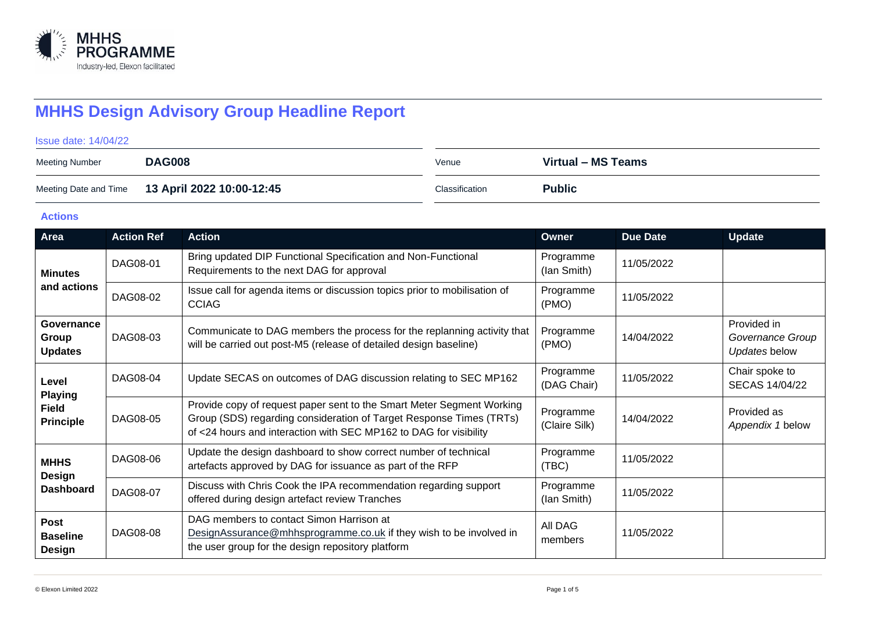

# **MHHS Design Advisory Group Headline Report**

Issue date: 14/04/22

| Meeting Number | <b>DAG008</b>                                   | Venue          | Virtual – MS Teams |
|----------------|-------------------------------------------------|----------------|--------------------|
|                | Meeting Date and Time 13 April 2022 10:00-12:45 | Classification | <b>Public</b>      |

### **Actions**

| Area                                                        | <b>Action Ref</b> | <b>Action</b>                                                                                                                                                                                                     | Owner                      | Due Date   | <b>Update</b>                                    |
|-------------------------------------------------------------|-------------------|-------------------------------------------------------------------------------------------------------------------------------------------------------------------------------------------------------------------|----------------------------|------------|--------------------------------------------------|
| <b>Minutes</b><br>and actions                               | DAG08-01          | Bring updated DIP Functional Specification and Non-Functional<br>Requirements to the next DAG for approval                                                                                                        | Programme<br>(lan Smith)   | 11/05/2022 |                                                  |
|                                                             | DAG08-02          | Issue call for agenda items or discussion topics prior to mobilisation of<br><b>CCIAG</b>                                                                                                                         | Programme<br>(PMO)         | 11/05/2022 |                                                  |
| Governance<br>Group<br><b>Updates</b>                       | DAG08-03          | Communicate to DAG members the process for the replanning activity that<br>will be carried out post-M5 (release of detailed design baseline)                                                                      | Programme<br>(PMO)         | 14/04/2022 | Provided in<br>Governance Group<br>Updates below |
| Level<br><b>Playing</b><br><b>Field</b><br><b>Principle</b> | DAG08-04          | Update SECAS on outcomes of DAG discussion relating to SEC MP162                                                                                                                                                  | Programme<br>(DAG Chair)   | 11/05/2022 | Chair spoke to<br>SECAS 14/04/22                 |
|                                                             | DAG08-05          | Provide copy of request paper sent to the Smart Meter Segment Working<br>Group (SDS) regarding consideration of Target Response Times (TRTs)<br>of <24 hours and interaction with SEC MP162 to DAG for visibility | Programme<br>(Claire Silk) | 14/04/2022 | Provided as<br>Appendix 1 below                  |
| <b>MHHS</b><br>Design<br><b>Dashboard</b>                   | DAG08-06          | Update the design dashboard to show correct number of technical<br>artefacts approved by DAG for issuance as part of the RFP                                                                                      | Programme<br>(TBC)         | 11/05/2022 |                                                  |
|                                                             | DAG08-07          | Discuss with Chris Cook the IPA recommendation regarding support<br>offered during design artefact review Tranches                                                                                                | Programme<br>(lan Smith)   | 11/05/2022 |                                                  |
| Post<br><b>Baseline</b><br>Design                           | DAG08-08          | DAG members to contact Simon Harrison at<br>DesignAssurance@mhhsprogramme.co.uk if they wish to be involved in<br>the user group for the design repository platform                                               | All DAG<br>members         | 11/05/2022 |                                                  |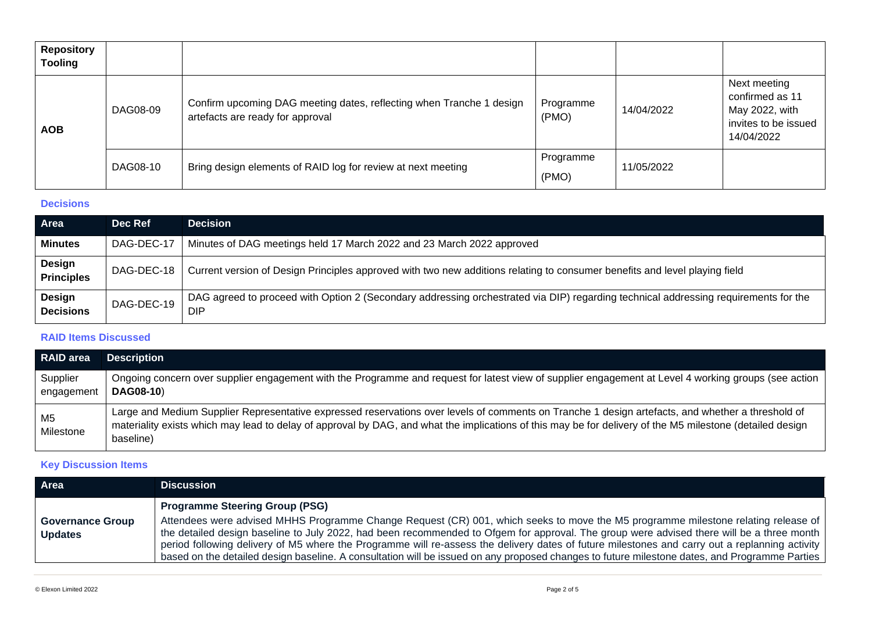| <b>Repository</b><br><b>Tooling</b> |          |                                                                                                          |                    |            |                                                                                         |
|-------------------------------------|----------|----------------------------------------------------------------------------------------------------------|--------------------|------------|-----------------------------------------------------------------------------------------|
| <b>AOB</b>                          | DAG08-09 | Confirm upcoming DAG meeting dates, reflecting when Tranche 1 design<br>artefacts are ready for approval | Programme<br>(PMO) | 14/04/2022 | Next meeting<br>confirmed as 11<br>May 2022, with<br>invites to be issued<br>14/04/2022 |
|                                     | DAG08-10 | Bring design elements of RAID log for review at next meeting                                             | Programme<br>(PMO) | 11/05/2022 |                                                                                         |

#### **Decisions**

| Area I                      | Dec Ref    | <b>Decision</b>                                                                                                                            |
|-----------------------------|------------|--------------------------------------------------------------------------------------------------------------------------------------------|
| <b>Minutes</b>              | DAG-DEC-17 | Minutes of DAG meetings held 17 March 2022 and 23 March 2022 approved                                                                      |
| Design<br><b>Principles</b> | DAG-DEC-18 | Current version of Design Principles approved with two new additions relating to consumer benefits and level playing field                 |
| Design<br><b>Decisions</b>  | DAG-DEC-19 | DAG agreed to proceed with Option 2 (Secondary addressing orchestrated via DIP) regarding technical addressing requirements for the<br>DIP |

## **RAID Items Discussed**

| <b>RAID</b> area            | <b>Description</b>                                                                                                                                                                                                                                                                                                          |
|-----------------------------|-----------------------------------------------------------------------------------------------------------------------------------------------------------------------------------------------------------------------------------------------------------------------------------------------------------------------------|
| Supplier<br>engagement      | Ongoing concern over supplier engagement with the Programme and request for latest view of supplier engagement at Level 4 working groups (see action<br><b>DAG08-10)</b>                                                                                                                                                    |
| M <sub>5</sub><br>Milestone | Large and Medium Supplier Representative expressed reservations over levels of comments on Tranche 1 design artefacts, and whether a threshold of<br>materiality exists which may lead to delay of approval by DAG, and what the implications of this may be for delivery of the M5 milestone (detailed design<br>baseline) |

## **Key Discussion Items**

| Area                                      | <b>Discussion</b>                                                                                                                                                                                                                                                                                                       |
|-------------------------------------------|-------------------------------------------------------------------------------------------------------------------------------------------------------------------------------------------------------------------------------------------------------------------------------------------------------------------------|
| <b>Governance Group</b><br><b>Updates</b> | <b>Programme Steering Group (PSG)</b><br>Attendees were advised MHHS Programme Change Request (CR) 001, which seeks to move the M5 programme milestone relating release of<br>the detailed design baseline to July 2022, had been recommended to Ofgem for approval. The group were advised there will be a three month |
|                                           | period following delivery of M5 where the Programme will re-assess the delivery dates of future milestones and carry out a replanning activity<br>based on the detailed design baseline. A consultation will be issued on any proposed changes to future milestone dates, and Programme Parties                         |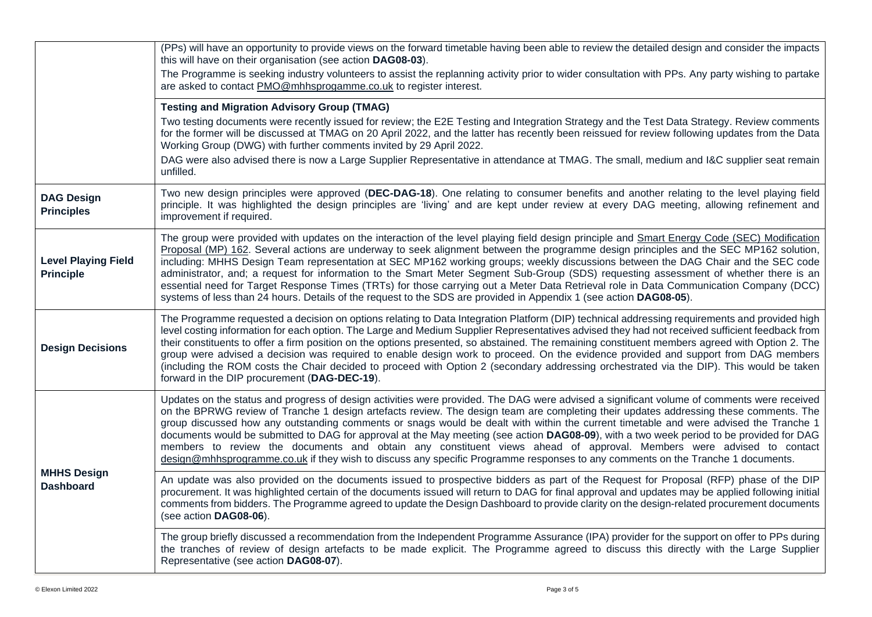|                                                | (PPs) will have an opportunity to provide views on the forward timetable having been able to review the detailed design and consider the impacts<br>this will have on their organisation (see action DAG08-03).                                                                                                                                                                                                                                                                                                                                                                                                                                                                                                                                                                                                                     |
|------------------------------------------------|-------------------------------------------------------------------------------------------------------------------------------------------------------------------------------------------------------------------------------------------------------------------------------------------------------------------------------------------------------------------------------------------------------------------------------------------------------------------------------------------------------------------------------------------------------------------------------------------------------------------------------------------------------------------------------------------------------------------------------------------------------------------------------------------------------------------------------------|
|                                                | The Programme is seeking industry volunteers to assist the replanning activity prior to wider consultation with PPs. Any party wishing to partake<br>are asked to contact PMO@mhhsprogamme.co.uk to register interest.                                                                                                                                                                                                                                                                                                                                                                                                                                                                                                                                                                                                              |
|                                                | <b>Testing and Migration Advisory Group (TMAG)</b>                                                                                                                                                                                                                                                                                                                                                                                                                                                                                                                                                                                                                                                                                                                                                                                  |
|                                                | Two testing documents were recently issued for review; the E2E Testing and Integration Strategy and the Test Data Strategy. Review comments<br>for the former will be discussed at TMAG on 20 April 2022, and the latter has recently been reissued for review following updates from the Data<br>Working Group (DWG) with further comments invited by 29 April 2022.                                                                                                                                                                                                                                                                                                                                                                                                                                                               |
|                                                | DAG were also advised there is now a Large Supplier Representative in attendance at TMAG. The small, medium and I&C supplier seat remain<br>unfilled.                                                                                                                                                                                                                                                                                                                                                                                                                                                                                                                                                                                                                                                                               |
| <b>DAG Design</b><br><b>Principles</b>         | Two new design principles were approved (DEC-DAG-18). One relating to consumer benefits and another relating to the level playing field<br>principle. It was highlighted the design principles are 'living' and are kept under review at every DAG meeting, allowing refinement and<br>improvement if required.                                                                                                                                                                                                                                                                                                                                                                                                                                                                                                                     |
| <b>Level Playing Field</b><br><b>Principle</b> | The group were provided with updates on the interaction of the level playing field design principle and Smart Energy Code (SEC) Modification<br>Proposal (MP) 162. Several actions are underway to seek alignment between the programme design principles and the SEC MP162 solution,<br>including: MHHS Design Team representation at SEC MP162 working groups; weekly discussions between the DAG Chair and the SEC code<br>administrator, and; a request for information to the Smart Meter Segment Sub-Group (SDS) requesting assessment of whether there is an<br>essential need for Target Response Times (TRTs) for those carrying out a Meter Data Retrieval role in Data Communication Company (DCC)<br>systems of less than 24 hours. Details of the request to the SDS are provided in Appendix 1 (see action DAG08-05). |
| <b>Design Decisions</b>                        | The Programme requested a decision on options relating to Data Integration Platform (DIP) technical addressing requirements and provided high<br>level costing information for each option. The Large and Medium Supplier Representatives advised they had not received sufficient feedback from<br>their constituents to offer a firm position on the options presented, so abstained. The remaining constituent members agreed with Option 2. The<br>group were advised a decision was required to enable design work to proceed. On the evidence provided and support from DAG members<br>(including the ROM costs the Chair decided to proceed with Option 2 (secondary addressing orchestrated via the DIP). This would be taken<br>forward in the DIP procurement (DAG-DEC-19).                                               |
| <b>MHHS Design</b><br><b>Dashboard</b>         | Updates on the status and progress of design activities were provided. The DAG were advised a significant volume of comments were received<br>on the BPRWG review of Tranche 1 design artefacts review. The design team are completing their updates addressing these comments. The<br>group discussed how any outstanding comments or snags would be dealt with within the current timetable and were advised the Tranche 1<br>documents would be submitted to DAG for approval at the May meeting (see action DAG08-09), with a two week period to be provided for DAG<br>members to review the documents and obtain any constituent views ahead of approval. Members were advised to contact<br>design@mhhsprogramme.co.uk if they wish to discuss any specific Programme responses to any comments on the Tranche 1 documents.  |
|                                                | An update was also provided on the documents issued to prospective bidders as part of the Request for Proposal (RFP) phase of the DIP<br>procurement. It was highlighted certain of the documents issued will return to DAG for final approval and updates may be applied following initial<br>comments from bidders. The Programme agreed to update the Design Dashboard to provide clarity on the design-related procurement documents<br>(see action DAG08-06).                                                                                                                                                                                                                                                                                                                                                                  |
|                                                | The group briefly discussed a recommendation from the Independent Programme Assurance (IPA) provider for the support on offer to PPs during<br>the tranches of review of design artefacts to be made explicit. The Programme agreed to discuss this directly with the Large Supplier<br>Representative (see action DAG08-07).                                                                                                                                                                                                                                                                                                                                                                                                                                                                                                       |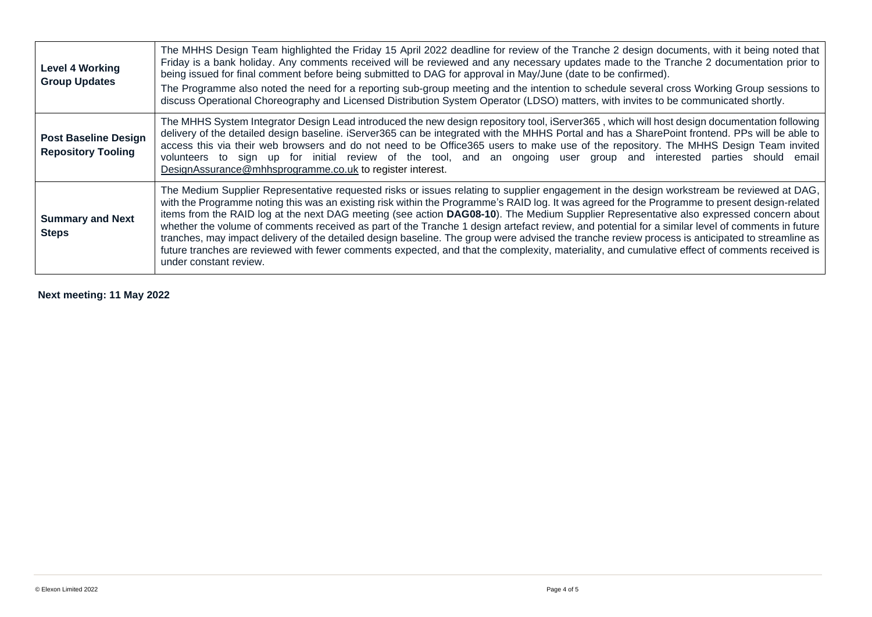| <b>Level 4 Working</b><br><b>Group Updates</b>           | The MHHS Design Team highlighted the Friday 15 April 2022 deadline for review of the Tranche 2 design documents, with it being noted that<br>Friday is a bank holiday. Any comments received will be reviewed and any necessary updates made to the Tranche 2 documentation prior to<br>being issued for final comment before being submitted to DAG for approval in May/June (date to be confirmed).<br>The Programme also noted the need for a reporting sub-group meeting and the intention to schedule several cross Working Group sessions to<br>discuss Operational Choreography and Licensed Distribution System Operator (LDSO) matters, with invites to be communicated shortly.                                                                                                                                                                                                                                 |
|----------------------------------------------------------|---------------------------------------------------------------------------------------------------------------------------------------------------------------------------------------------------------------------------------------------------------------------------------------------------------------------------------------------------------------------------------------------------------------------------------------------------------------------------------------------------------------------------------------------------------------------------------------------------------------------------------------------------------------------------------------------------------------------------------------------------------------------------------------------------------------------------------------------------------------------------------------------------------------------------|
| <b>Post Baseline Design</b><br><b>Repository Tooling</b> | The MHHS System Integrator Design Lead introduced the new design repository tool, iServer365, which will host design documentation following<br>delivery of the detailed design baseline. iServer365 can be integrated with the MHHS Portal and has a SharePoint frontend. PPs will be able to<br>access this via their web browsers and do not need to be Office365 users to make use of the repository. The MHHS Design Team invited<br>volunteers to sign up for initial review of the tool, and an ongoing user group and interested parties should email<br>DesignAssurance@mhhsprogramme.co.uk to register interest.                                                                                                                                                                                                                                                                                                |
| <b>Summary and Next</b><br><b>Steps</b>                  | The Medium Supplier Representative requested risks or issues relating to supplier engagement in the design workstream be reviewed at DAG,<br>with the Programme noting this was an existing risk within the Programme's RAID log. It was agreed for the Programme to present design-related<br>items from the RAID log at the next DAG meeting (see action DAG08-10). The Medium Supplier Representative also expressed concern about<br>whether the volume of comments received as part of the Tranche 1 design artefact review, and potential for a similar level of comments in future<br>tranches, may impact delivery of the detailed design baseline. The group were advised the tranche review process is anticipated to streamline as<br>future tranches are reviewed with fewer comments expected, and that the complexity, materiality, and cumulative effect of comments received is<br>under constant review. |

**Next meeting: 11 May 2022**